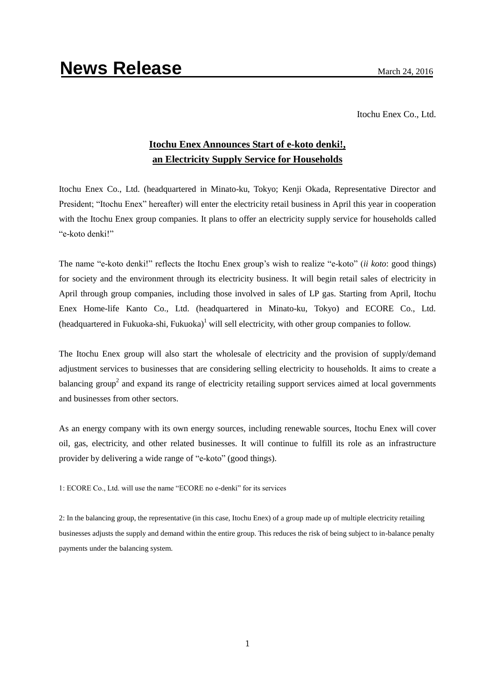Itochu Enex Co., Ltd.

### **Itochu Enex Announces Start of e-koto denki!, an Electricity Supply Service for Households**

Itochu Enex Co., Ltd. (headquartered in Minato-ku, Tokyo; Kenji Okada, Representative Director and President; "Itochu Enex" hereafter) will enter the electricity retail business in April this year in cooperation with the Itochu Enex group companies. It plans to offer an electricity supply service for households called "e-koto denki!"

The name "e-koto denki!" reflects the Itochu Enex group's wish to realize "e-koto" (*ii koto*: good things) for society and the environment through its electricity business. It will begin retail sales of electricity in April through group companies, including those involved in sales of LP gas. Starting from April, Itochu Enex Home-life Kanto Co., Ltd. (headquartered in Minato-ku, Tokyo) and ECORE Co., Ltd.  $(headquartered in Fukuoka-shi, Fukuoka)<sup>1</sup>$  will sell electricity, with other group companies to follow.

The Itochu Enex group will also start the wholesale of electricity and the provision of supply/demand adjustment services to businesses that are considering selling electricity to households. It aims to create a balancing group<sup>2</sup> and expand its range of electricity retailing support services aimed at local governments and businesses from other sectors.

As an energy company with its own energy sources, including renewable sources, Itochu Enex will cover oil, gas, electricity, and other related businesses. It will continue to fulfill its role as an infrastructure provider by delivering a wide range of "e-koto" (good things).

1: ECORE Co., Ltd. will use the name "ECORE no e-denki" for its services

2: In the balancing group, the representative (in this case, Itochu Enex) of a group made up of multiple electricity retailing businesses adjusts the supply and demand within the entire group. This reduces the risk of being subject to in-balance penalty payments under the balancing system.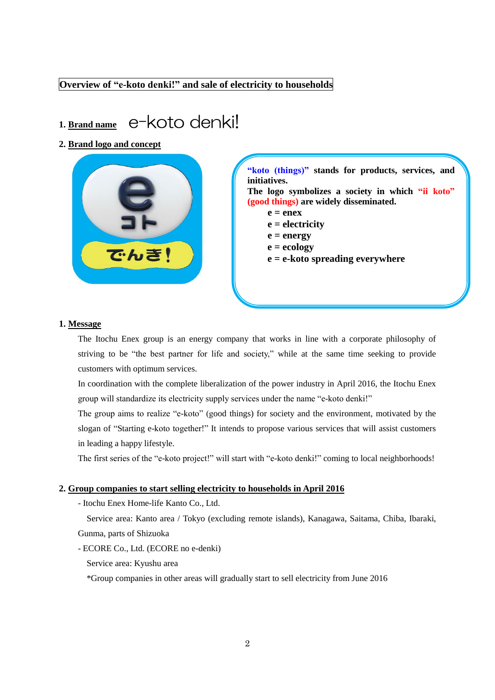#### **Overview of "e-koto denki!" and sale of electricity to households**

# **1. Brand name** e-koto denki!

**2. Brand logo and concept**



**"koto (things)" stands for products, services, and initiatives. The logo symbolizes a society in which "ii koto" (good things) are widely disseminated. e = enex e = electricity e = energy e = ecology e = e-koto spreading everywhere**

#### **1. Message**

The Itochu Enex group is an energy company that works in line with a corporate philosophy of striving to be "the best partner for life and society," while at the same time seeking to provide customers with optimum services.

In coordination with the complete liberalization of the power industry in April 2016, the Itochu Enex group will standardize its electricity supply services under the name "e-koto denki!"

The group aims to realize "e-koto" (good things) for society and the environment, motivated by the slogan of "Starting e-koto together!" It intends to propose various services that will assist customers in leading a happy lifestyle.

The first series of the "e-koto project!" will start with "e-koto denki!" coming to local neighborhoods!

#### **2. Group companies to start selling electricity to households in April 2016**

- Itochu Enex Home-life Kanto Co., Ltd.

Service area: Kanto area / Tokyo (excluding remote islands), Kanagawa, Saitama, Chiba, Ibaraki, Gunma, parts of Shizuoka

- ECORE Co., Ltd. (ECORE no e-denki)
	- Service area: Kyushu area

\*Group companies in other areas will gradually start to sell electricity from June 2016